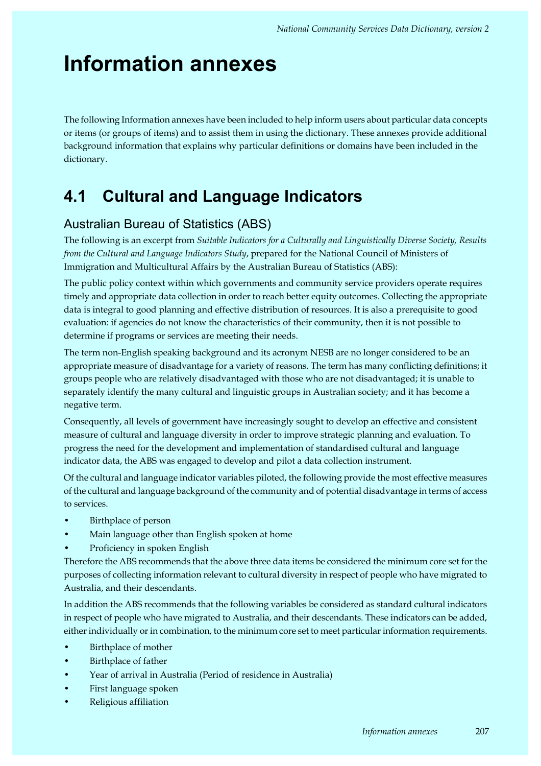# **Information annexes**

The following Information annexes have been included to help inform users about particular data concepts or items (or groups of items) and to assist them in using the dictionary. These annexes provide additional background information that explains why particular definitions or domains have been included in the dictionary.

# **4.1 Cultural and Language Indicators**

# Australian Bureau of Statistics (ABS)

The following is an excerpt from *Suitable Indicators for a Culturally and Linguistically Diverse Society, Results from the Cultural and Language Indicators Study*, prepared for the National Council of Ministers of Immigration and Multicultural Affairs by the Australian Bureau of Statistics (ABS):

The public policy context within which governments and community service providers operate requires timely and appropriate data collection in order to reach better equity outcomes. Collecting the appropriate data is integral to good planning and effective distribution of resources. It is also a prerequisite to good evaluation: if agencies do not know the characteristics of their community, then it is not possible to determine if programs or services are meeting their needs.

The term non-English speaking background and its acronym NESB are no longer considered to be an appropriate measure of disadvantage for a variety of reasons. The term has many conflicting definitions; it groups people who are relatively disadvantaged with those who are not disadvantaged; it is unable to separately identify the many cultural and linguistic groups in Australian society; and it has become a negative term.

Consequently, all levels of government have increasingly sought to develop an effective and consistent measure of cultural and language diversity in order to improve strategic planning and evaluation. To progress the need for the development and implementation of standardised cultural and language indicator data, the ABS was engaged to develop and pilot a data collection instrument.

Of the cultural and language indicator variables piloted, the following provide the most effective measures of the cultural and language background of the community and of potential disadvantage in terms of access to services.

- Birthplace of person
- Main language other than English spoken at home
- Proficiency in spoken English

Therefore the ABS recommends that the above three data items be considered the minimum core set for the purposes of collecting information relevant to cultural diversity in respect of people who have migrated to Australia, and their descendants.

In addition the ABS recommends that the following variables be considered as standard cultural indicators in respect of people who have migrated to Australia, and their descendants. These indicators can be added, either individually or in combination, to the minimum core set to meet particular information requirements.

- Birthplace of mother
- Birthplace of father
- Year of arrival in Australia (Period of residence in Australia)
- First language spoken
- Religious affiliation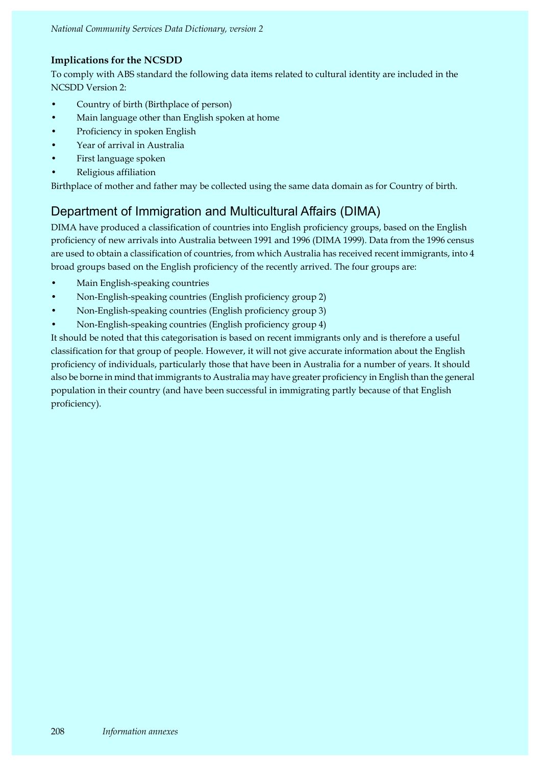# **Implications for the NCSDD**

To comply with ABS standard the following data items related to cultural identity are included in the NCSDD Version 2:

- Country of birth (Birthplace of person)
- Main language other than English spoken at home
- Proficiency in spoken English
- Year of arrival in Australia
- First language spoken
- Religious affiliation

Birthplace of mother and father may be collected using the same data domain as for Country of birth.

# Department of Immigration and Multicultural Affairs (DIMA)

DIMA have produced a classification of countries into English proficiency groups, based on the English proficiency of new arrivals into Australia between 1991 and 1996 (DIMA 1999). Data from the 1996 census are used to obtain a classification of countries, from which Australia has received recent immigrants, into 4 broad groups based on the English proficiency of the recently arrived. The four groups are:

- Main English-speaking countries
- Non-English-speaking countries (English proficiency group 2)
- Non-English-speaking countries (English proficiency group 3)
- Non-English-speaking countries (English proficiency group 4)

It should be noted that this categorisation is based on recent immigrants only and is therefore a useful classification for that group of people. However, it will not give accurate information about the English proficiency of individuals, particularly those that have been in Australia for a number of years. It should also be borne in mind that immigrants to Australia may have greater proficiency in English than the general population in their country (and have been successful in immigrating partly because of that English proficiency).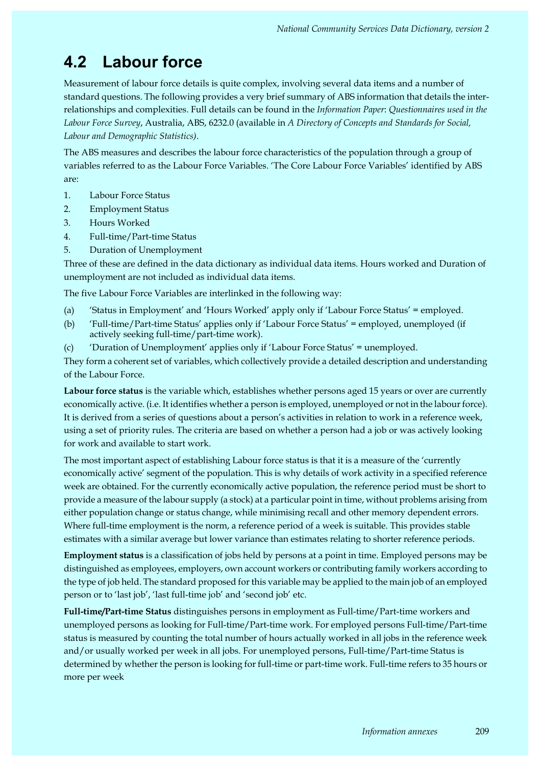# **4.2 Labour force**

Measurement of labour force details is quite complex, involving several data items and a number of standard questions. The following provides a very brief summary of ABS information that details the interrelationships and complexities. Full details can be found in the *Information Paper*: *Questionnaires used in the Labour Force Survey*, Australia, ABS, 6232.0 (available in *A Directory of Concepts and Standards for Social, Labour and Demographic Statistics)*.

The ABS measures and describes the labour force characteristics of the population through a group of variables referred to as the Labour Force Variables. 'The Core Labour Force Variables' identified by ABS are:

- 1. Labour Force Status
- 2. Employment Status
- 3. Hours Worked
- 4. Full-time/Part-time Status
- 5. Duration of Unemployment

Three of these are defined in the data dictionary as individual data items. Hours worked and Duration of unemployment are not included as individual data items.

The five Labour Force Variables are interlinked in the following way:

- (a) 'Status in Employment' and 'Hours Worked' apply only if 'Labour Force Status' = employed.
- (b) 'Full-time/Part-time Status' applies only if 'Labour Force Status' = employed, unemployed (if actively seeking full-time/part-time work).
- (c) 'Duration of Unemployment' applies only if 'Labour Force Status' = unemployed.

They form a coherent set of variables, which collectively provide a detailed description and understanding of the Labour Force.

**Labour force status** is the variable which, establishes whether persons aged 15 years or over are currently economically active. (i.e. It identifies whether a person is employed, unemployed or not in the labour force). It is derived from a series of questions about a person's activities in relation to work in a reference week, using a set of priority rules. The criteria are based on whether a person had a job or was actively looking for work and available to start work.

The most important aspect of establishing Labour force status is that it is a measure of the 'currently economically active' segment of the population. This is why details of work activity in a specified reference week are obtained. For the currently economically active population, the reference period must be short to provide a measure of the labour supply (a stock) at a particular point in time, without problems arising from either population change or status change, while minimising recall and other memory dependent errors. Where full-time employment is the norm, a reference period of a week is suitable. This provides stable estimates with a similar average but lower variance than estimates relating to shorter reference periods.

**Employment status** is a classification of jobs held by persons at a point in time. Employed persons may be distinguished as employees, employers, own account workers or contributing family workers according to the type of job held. The standard proposed for this variable may be applied to the main job of an employed person or to 'last job', 'last full-time job' and 'second job' etc.

**Full-time/Part-time Status** distinguishes persons in employment as Full-time/Part-time workers and unemployed persons as looking for Full-time/Part-time work. For employed persons Full-time/Part-time status is measured by counting the total number of hours actually worked in all jobs in the reference week and/or usually worked per week in all jobs. For unemployed persons, Full-time/Part-time Status is determined by whether the person is looking for full-time or part-time work. Full-time refers to 35 hours or more per week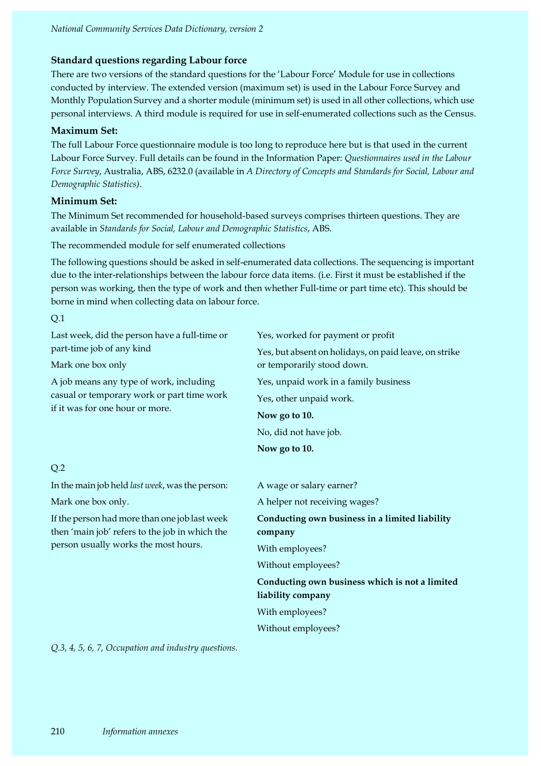## **Standard questions regarding Labour force**

There are two versions of the standard questions for the 'Labour Force' Module for use in collections conducted by interview. The extended version (maximum set) is used in the Labour Force Survey and Monthly Population Survey and a shorter module (minimum set) is used in all other collections, which use personal interviews. A third module is required for use in self-enumerated collections such as the Census.

## **Maximum Set:**

The full Labour Force questionnaire module is too long to reproduce here but is that used in the current Labour Force Survey. Full details can be found in the Information Paper: *Questionnaires used in the Labour Force Survey*, Australia, ABS, 6232.0 (available in *A Directory of Concepts and Standards for Social, Labour and Demographic Statistics)*.

## **Minimum Set:**

The Minimum Set recommended for household-based surveys comprises thirteen questions. They are available in *Standards for Social, Labour and Demographic Statistics*, ABS.

The recommended module for self enumerated collections

The following questions should be asked in self-enumerated data collections. The sequencing is important due to the inter-relationships between the labour force data items. (i.e. First it must be established if the person was working, then the type of work and then whether Full-time or part time etc). This should be borne in mind when collecting data on labour force.

#### Q.1

Q.2 Last week, did the person have a full-time or part-time job of any kind Mark one box only A job means any type of work, including casual or temporary work or part time work if it was for one hour or more. Yes, worked for payment or profit Yes, but absent on holidays, on paid leave, on strike or temporarily stood down. Yes, unpaid work in a family business Yes, other unpaid work. **Now go to 10.** No, did not have job. **Now go to 10.** In the main job held *last week*, was the person: Mark one box only. If the person had more than one job last week then 'main job' refers to the job in which the person usually works the most hours. A wage or salary earner? A helper not receiving wages? **Conducting own business in a limited liability company** With employees? Without employees? **Conducting own business which is not a limited liability company** With employees?

Without employees?

*Q.3, 4, 5, 6, 7, Occupation and industry questions.*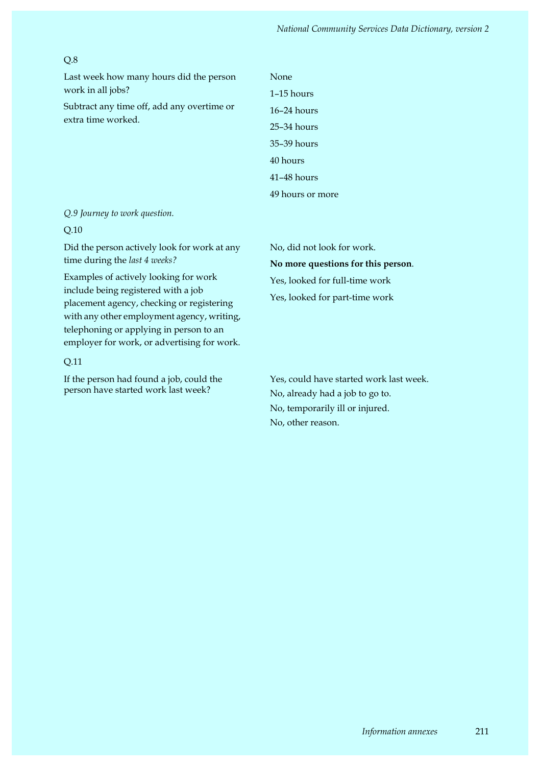### Q.8

Last week how many hours did the person work in all jobs?

Subtract any time off, add any overtime or extra time worked.

1–15 hours 16–24 hours 25–34 hours 35–39 hours 40 hours 41–48 hours 49 hours or more

None

*Q.9 Journey to work question.*

#### Q.10

Did the person actively look for work at any time during the *last 4 weeks?*

Examples of actively looking for work include being registered with a job placement agency, checking or registering with any other employment agency, writing, telephoning or applying in person to an employer for work, or advertising for work.

#### Q.11

If the person had found a job, could the person have started work last week?

No, did not look for work. **No more questions for this person**. Yes, looked for full-time work Yes, looked for part-time work

Yes, could have started work last week. No, already had a job to go to. No, temporarily ill or injured. No, other reason.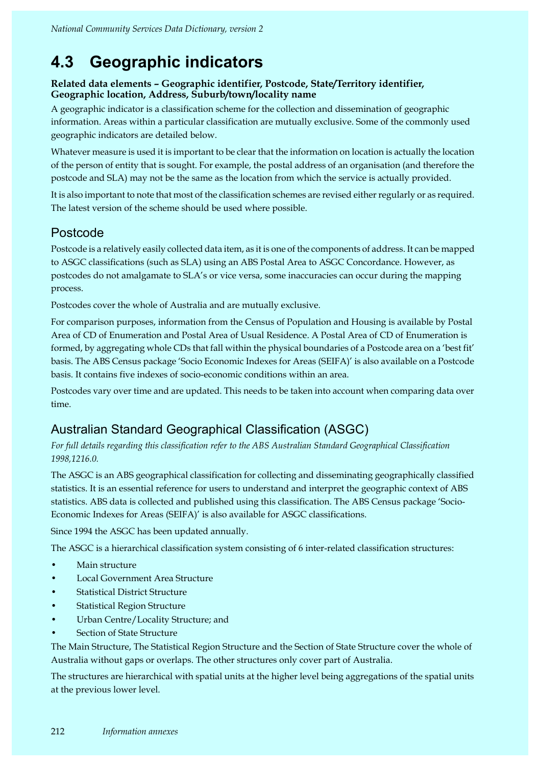# **4.3 Geographic indicators**

# **Related data elements – Geographic identifier, Postcode, State/Territory identifier, Geographic location, Address, Suburb/town/locality name**

A geographic indicator is a classification scheme for the collection and dissemination of geographic information. Areas within a particular classification are mutually exclusive. Some of the commonly used geographic indicators are detailed below.

Whatever measure is used it is important to be clear that the information on location is actually the location of the person of entity that is sought. For example, the postal address of an organisation (and therefore the postcode and SLA) may not be the same as the location from which the service is actually provided.

It is also important to note that most of the classification schemes are revised either regularly or as required. The latest version of the scheme should be used where possible.

# Postcode

Postcode is a relatively easily collected data item, as it is one of the components of address. It can be mapped to ASGC classifications (such as SLA) using an ABS Postal Area to ASGC Concordance. However, as postcodes do not amalgamate to SLA's or vice versa, some inaccuracies can occur during the mapping process.

Postcodes cover the whole of Australia and are mutually exclusive.

For comparison purposes, information from the Census of Population and Housing is available by Postal Area of CD of Enumeration and Postal Area of Usual Residence. A Postal Area of CD of Enumeration is formed, by aggregating whole CDs that fall within the physical boundaries of a Postcode area on a 'best fit' basis. The ABS Census package 'Socio Economic Indexes for Areas (SEIFA)' is also available on a Postcode basis. It contains five indexes of socio-economic conditions within an area.

Postcodes vary over time and are updated. This needs to be taken into account when comparing data over time.

# Australian Standard Geographical Classification (ASGC)

*For full details regarding this classification refer to the ABS Australian Standard Geographical Classification 1998,1216.0.*

The ASGC is an ABS geographical classification for collecting and disseminating geographically classified statistics. It is an essential reference for users to understand and interpret the geographic context of ABS statistics. ABS data is collected and published using this classification. The ABS Census package 'Socio-Economic Indexes for Areas (SEIFA)' is also available for ASGC classifications.

Since 1994 the ASGC has been updated annually.

The ASGC is a hierarchical classification system consisting of 6 inter-related classification structures:

- Main structure
- Local Government Area Structure
- **Statistical District Structure**
- **Statistical Region Structure**
- Urban Centre/Locality Structure; and
- Section of State Structure

The Main Structure, The Statistical Region Structure and the Section of State Structure cover the whole of Australia without gaps or overlaps. The other structures only cover part of Australia.

The structures are hierarchical with spatial units at the higher level being aggregations of the spatial units at the previous lower level.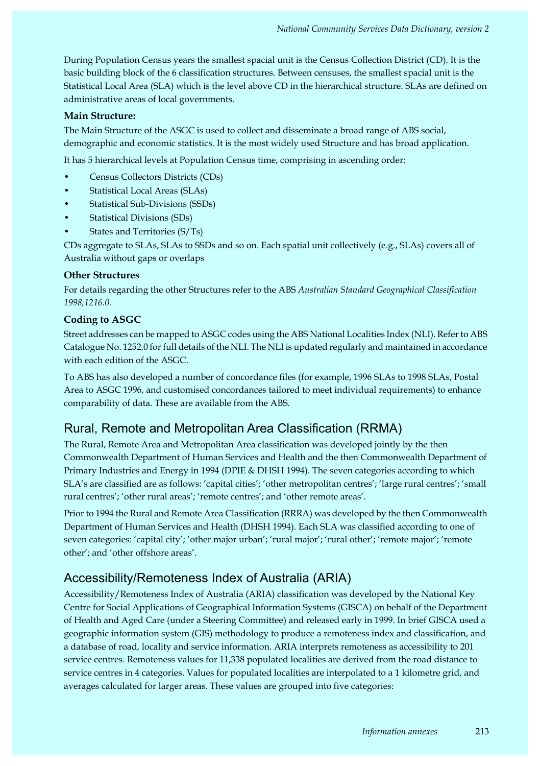During Population Census years the smallest spacial unit is the Census Collection District (CD). It is the basic building block of the 6 classification structures. Between censuses, the smallest spacial unit is the Statistical Local Area (SLA) which is the level above CD in the hierarchical structure. SLAs are defined on administrative areas of local governments.

#### **Main Structure:**

The Main Structure of the ASGC is used to collect and disseminate a broad range of ABS social, demographic and economic statistics. It is the most widely used Structure and has broad application.

It has 5 hierarchical levels at Population Census time, comprising in ascending order:

- Census Collectors Districts (CDs)
- Statistical Local Areas (SLAs)
- Statistical Sub-Divisions (SSDs)
- Statistical Divisions (SDs)
- States and Territories (S/Ts)

CDs aggregate to SLAs, SLAs to SSDs and so on. Each spatial unit collectively (e.g., SLAs) covers all of Australia without gaps or overlaps

#### **Other Structures**

For details regarding the other Structures refer to the ABS *Australian Standard Geographical Classification 1998,1216.0.*

## **Coding to ASGC**

Street addresses can be mapped to ASGC codes using the ABS National Localities Index (NLI). Refer to ABS Catalogue No. 1252.0 for full details of the NLI. The NLI is updated regularly and maintained in accordance with each edition of the ASGC.

To ABS has also developed a number of concordance files (for example, 1996 SLAs to 1998 SLAs, Postal Area to ASGC 1996, and customised concordances tailored to meet individual requirements) to enhance comparability of data. These are available from the ABS.

# Rural, Remote and Metropolitan Area Classification (RRMA)

The Rural, Remote Area and Metropolitan Area classification was developed jointly by the then Commonwealth Department of Human Services and Health and the then Commonwealth Department of Primary Industries and Energy in 1994 (DPIE & DHSH 1994). The seven categories according to which SLA's are classified are as follows: 'capital cities'; 'other metropolitan centres'; 'large rural centres'; 'small rural centres'; 'other rural areas'; 'remote centres'; and 'other remote areas'.

Prior to 1994 the Rural and Remote Area Classification (RRRA) was developed by the then Commonwealth Department of Human Services and Health (DHSH 1994). Each SLA was classified according to one of seven categories: 'capital city'; 'other major urban'; 'rural major'; 'rural other'; 'remote major'; 'remote other'; and 'other offshore areas'.

# Accessibility/Remoteness Index of Australia (ARIA)

Accessibility/Remoteness Index of Australia (ARIA) classification was developed by the National Key Centre for Social Applications of Geographical Information Systems (GISCA) on behalf of the Department of Health and Aged Care (under a Steering Committee) and released early in 1999. In brief GISCA used a geographic information system (GIS) methodology to produce a remoteness index and classification, and a database of road, locality and service information. ARIA interprets remoteness as accessibility to 201 service centres. Remoteness values for 11,338 populated localities are derived from the road distance to service centres in 4 categories. Values for populated localities are interpolated to a 1 kilometre grid, and averages calculated for larger areas. These values are grouped into five categories: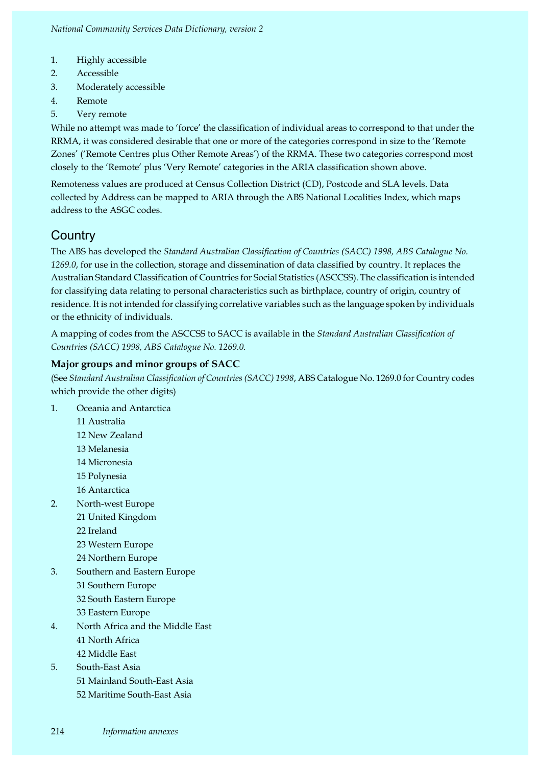- 1. Highly accessible
- 2. Accessible
- 3. Moderately accessible
- 4. Remote
- 5. Very remote

While no attempt was made to 'force' the classification of individual areas to correspond to that under the RRMA, it was considered desirable that one or more of the categories correspond in size to the 'Remote Zones' ('Remote Centres plus Other Remote Areas') of the RRMA. These two categories correspond most closely to the 'Remote' plus 'Very Remote' categories in the ARIA classification shown above.

Remoteness values are produced at Census Collection District (CD), Postcode and SLA levels. Data collected by Address can be mapped to ARIA through the ABS National Localities Index, which maps address to the ASGC codes.

# **Country**

The ABS has developed the *Standard Australian Classification of Countries (SACC) 1998, ABS Catalogue No. 1269.0*, for use in the collection, storage and dissemination of data classified by country. It replaces the Australian Standard Classification of Countries for Social Statistics (ASCCSS). The classification is intended for classifying data relating to personal characteristics such as birthplace, country of origin, country of residence. It is not intended for classifying correlative variables such as the language spoken by individuals or the ethnicity of individuals.

A mapping of codes from the ASCCSS to SACC is available in the *Standard Australian Classification of Countries (SACC) 1998, ABS Catalogue No. 1269.0.*

# **Major groups and minor groups of SACC**

(See *Standard Australian Classification of Countries (SACC) 1998*, ABS Catalogue No. 1269.0 for Country codes which provide the other digits)

- 1. Oceania and Antarctica
	- 11 Australia
	- 12 New Zealand
	- 13 Melanesia
	- 14 Micronesia
	- 15 Polynesia
	- 16 Antarctica
- 2. North-west Europe
	- 21 United Kingdom
	- 22 Ireland
	- 23 Western Europe
	- 24 Northern Europe
- 3. Southern and Eastern Europe
	- 31 Southern Europe 32 South Eastern Europe
		- 33 Eastern Europe
- 4. North Africa and the Middle East 41 North Africa 42 Middle East
- 5. South-East Asia 51 Mainland South-East Asia 52 Maritime South-East Asia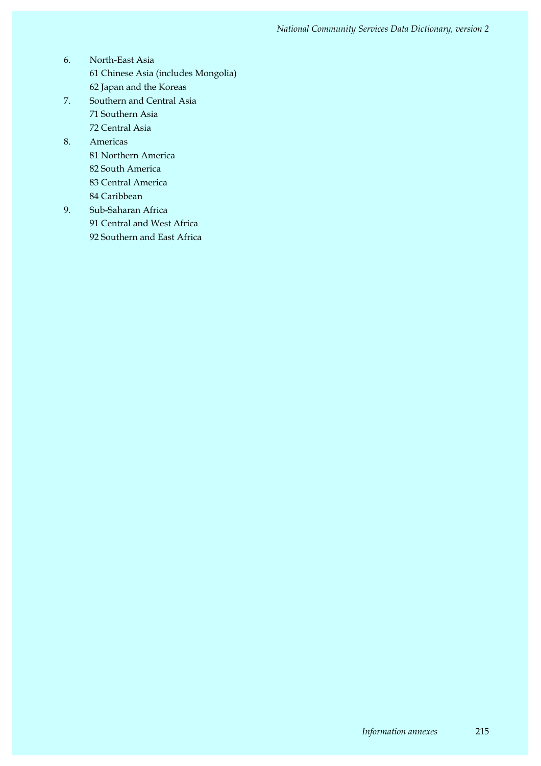- 6. North-East Asia 61 Chinese Asia (includes Mongolia) 62 Japan and the Koreas
- 7. Southern and Central Asia 71 Southern Asia 72 Central Asia
- 8. Americas 81 Northern America 82 South America 83 Central America 84 Caribbean
- 9. Sub-Saharan Africa 91 Central and West Africa 92 Southern and East Africa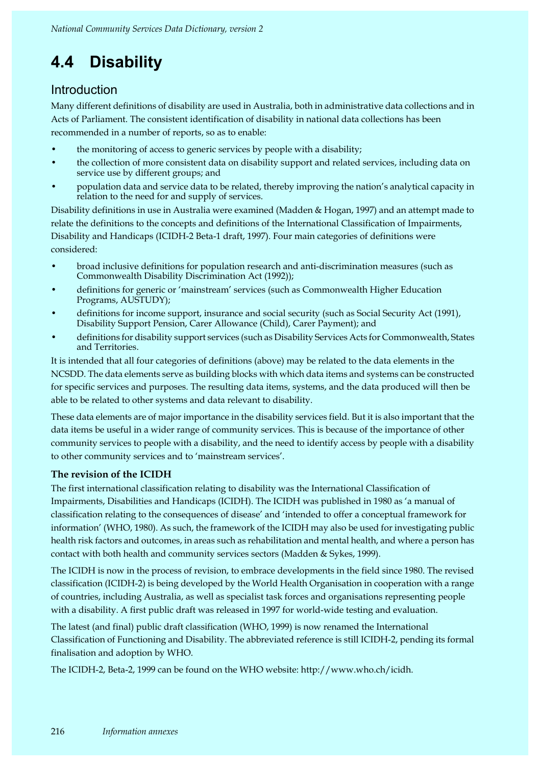# **4.4 Disability**

# **Introduction**

Many different definitions of disability are used in Australia, both in administrative data collections and in Acts of Parliament. The consistent identification of disability in national data collections has been recommended in a number of reports, so as to enable:

- the monitoring of access to generic services by people with a disability;
- the collection of more consistent data on disability support and related services, including data on service use by different groups; and
- population data and service data to be related, thereby improving the nation's analytical capacity in relation to the need for and supply of services.

Disability definitions in use in Australia were examined (Madden & Hogan, 1997) and an attempt made to relate the definitions to the concepts and definitions of the International Classification of Impairments, Disability and Handicaps (ICIDH-2 Beta-1 draft, 1997). Four main categories of definitions were considered:

- broad inclusive definitions for population research and anti-discrimination measures (such as Commonwealth Disability Discrimination Act (1992));
- definitions for generic or 'mainstream' services (such as Commonwealth Higher Education Programs, AUSTUDY);
- definitions for income support, insurance and social security (such as Social Security Act (1991), Disability Support Pension, Carer Allowance (Child), Carer Payment); and
- definitions for disability support services (such as Disability Services Acts for Commonwealth, States and Territories.

It is intended that all four categories of definitions (above) may be related to the data elements in the NCSDD. The data elements serve as building blocks with which data items and systems can be constructed for specific services and purposes. The resulting data items, systems, and the data produced will then be able to be related to other systems and data relevant to disability.

These data elements are of major importance in the disability services field. But it is also important that the data items be useful in a wider range of community services. This is because of the importance of other community services to people with a disability, and the need to identify access by people with a disability to other community services and to 'mainstream services'.

# **The revision of the ICIDH**

The first international classification relating to disability was the International Classification of Impairments, Disabilities and Handicaps (ICIDH). The ICIDH was published in 1980 as 'a manual of classification relating to the consequences of disease' and 'intended to offer a conceptual framework for information' (WHO, 1980). As such, the framework of the ICIDH may also be used for investigating public health risk factors and outcomes, in areas such as rehabilitation and mental health, and where a person has contact with both health and community services sectors (Madden & Sykes, 1999).

The ICIDH is now in the process of revision, to embrace developments in the field since 1980. The revised classification (ICIDH-2) is being developed by the World Health Organisation in cooperation with a range of countries, including Australia, as well as specialist task forces and organisations representing people with a disability. A first public draft was released in 1997 for world-wide testing and evaluation.

The latest (and final) public draft classification (WHO, 1999) is now renamed the International Classification of Functioning and Disability. The abbreviated reference is still ICIDH-2, pending its formal finalisation and adoption by WHO.

The ICIDH-2, Beta-2, 1999 can be found on the WHO website: http://www.who.ch/icidh.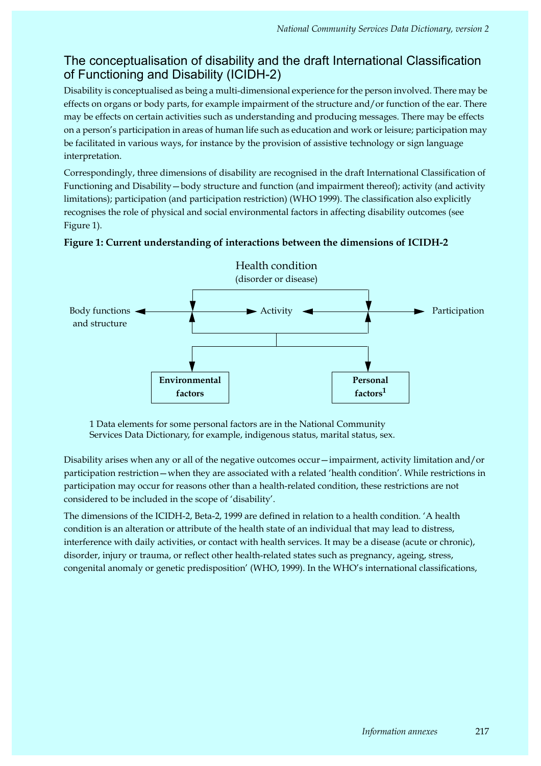# The conceptualisation of disability and the draft International Classification of Functioning and Disability (ICIDH-2)

Disability is conceptualised as being a multi-dimensional experience for the person involved. There may be effects on organs or body parts, for example impairment of the structure and/or function of the ear. There may be effects on certain activities such as understanding and producing messages. There may be effects on a person's participation in areas of human life such as education and work or leisure; participation may be facilitated in various ways, for instance by the provision of assistive technology or sign language interpretation.

Correspondingly, three dimensions of disability are recognised in the draft International Classification of Functioning and Disability—body structure and function (and impairment thereof); activity (and activity limitations); participation (and participation restriction) (WHO 1999). The classification also explicitly recognises the role of physical and social environmental factors in affecting disability outcomes (see Figure 1).



## **Figure 1: Current understanding of interactions between the dimensions of ICIDH-2**

1 Data elements for some personal factors are in the National Community Services Data Dictionary, for example, indigenous status, marital status, sex.

Disability arises when any or all of the negative outcomes occur—impairment, activity limitation and/or participation restriction—when they are associated with a related 'health condition'. While restrictions in participation may occur for reasons other than a health-related condition, these restrictions are not considered to be included in the scope of 'disability'.

The dimensions of the ICIDH-2, Beta-2, 1999 are defined in relation to a health condition. 'A health condition is an alteration or attribute of the health state of an individual that may lead to distress, interference with daily activities, or contact with health services. It may be a disease (acute or chronic), disorder, injury or trauma, or reflect other health-related states such as pregnancy, ageing, stress, congenital anomaly or genetic predisposition' (WHO, 1999). In the WHO's international classifications,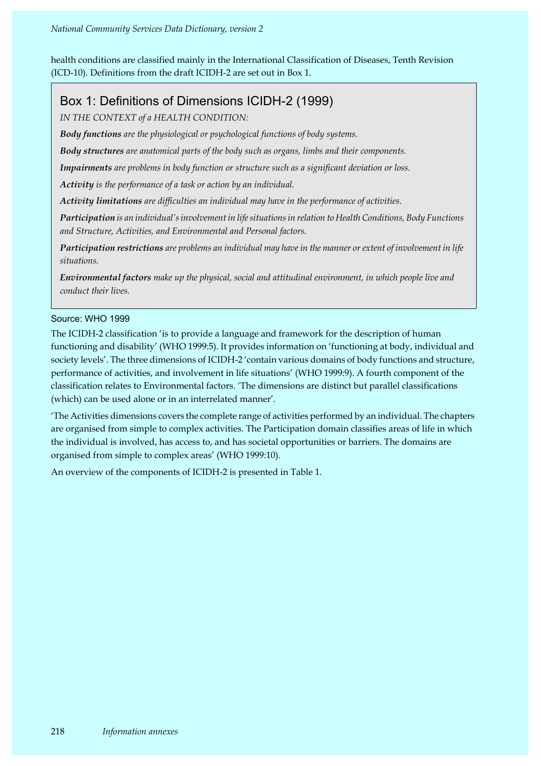health conditions are classified mainly in the International Classification of Diseases, Tenth Revision (ICD-10). Definitions from the draft ICIDH-2 are set out in Box 1.

# Box 1: Definitions of Dimensions ICIDH-2 (1999)

*IN THE CONTEXT of a HEALTH CONDITION:*

*Body functions are the physiological or psychological functions of body systems.*

*Body structures are anatomical parts of the body such as organs, limbs and their components.*

*Impairments are problems in body function or structure such as a significant deviation or loss.*

*Activity is the performance of a task or action by an individual.*

*Activity limitations are difficulties an individual may have in the performance of activities.*

*Participation is an individual's involvement in life situations in relation to Health Conditions, Body Functions and Structure, Activities, and Environmental and Personal factors.*

*Participation restrictions are problems an individual may have in the manner or extent of involvement in life situations.*

*Environmental factors make up the physical, social and attitudinal environment, in which people live and conduct their lives.*

## Source: WHO 1999

The ICIDH-2 classification 'is to provide a language and framework for the description of human functioning and disability' (WHO 1999:5). It provides information on 'functioning at body, individual and society levels'. The three dimensions of ICIDH-2 'contain various domains of body functions and structure, performance of activities, and involvement in life situations' (WHO 1999:9). A fourth component of the classification relates to Environmental factors. 'The dimensions are distinct but parallel classifications (which) can be used alone or in an interrelated manner'.

'The Activities dimensions covers the complete range of activities performed by an individual. The chapters are organised from simple to complex activities. The Participation domain classifies areas of life in which the individual is involved, has access to, and has societal opportunities or barriers. The domains are organised from simple to complex areas' (WHO 1999:10).

An overview of the components of ICIDH-2 is presented in Table 1.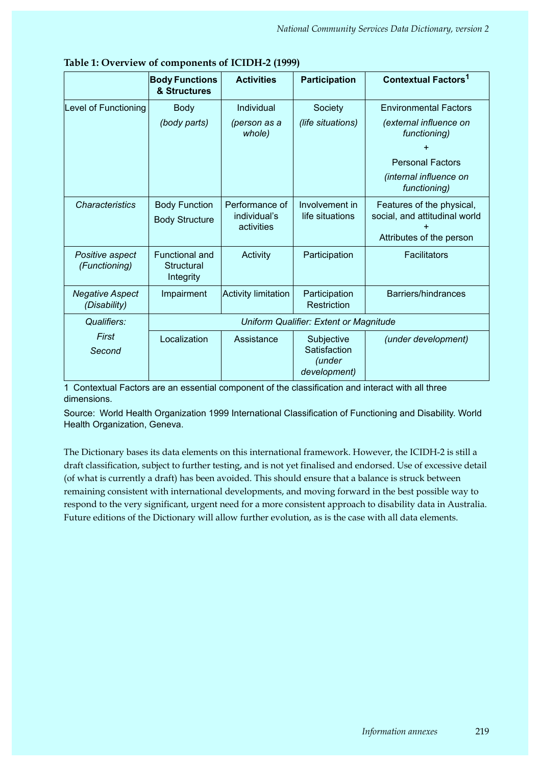|                                        | <b>Body Functions</b><br>& Structures                   | <b>Activities</b>                            | <b>Participation</b>                                 | <b>Contextual Factors<sup>1</sup></b>                                                  |
|----------------------------------------|---------------------------------------------------------|----------------------------------------------|------------------------------------------------------|----------------------------------------------------------------------------------------|
| Level of Functioning                   | <b>Body</b>                                             | Individual                                   | Society                                              | <b>Environmental Factors</b>                                                           |
|                                        | (body parts)                                            | (person as a<br>whole)                       | (life situations)                                    | (external influence on<br>functioning)                                                 |
|                                        |                                                         |                                              |                                                      |                                                                                        |
|                                        |                                                         |                                              |                                                      | <b>Personal Factors</b>                                                                |
|                                        |                                                         |                                              |                                                      | (internal influence on<br>functioning)                                                 |
| <b>Characteristics</b>                 | <b>Body Function</b><br><b>Body Structure</b>           | Performance of<br>individual's<br>activities | Involvement in<br>life situations                    | Features of the physical,<br>social, and attitudinal world<br>Attributes of the person |
| Positive aspect<br>(Functioning)       | <b>Functional and</b><br><b>Structural</b><br>Integrity | Activity                                     | Participation                                        | Facilitators                                                                           |
| <b>Negative Aspect</b><br>(Disability) | Impairment                                              | <b>Activity limitation</b>                   | Participation<br>Restriction                         | Barriers/hindrances                                                                    |
| Qualifiers:                            |                                                         |                                              | Uniform Qualifier: Extent or Magnitude               |                                                                                        |
| First<br>Second                        | Localization                                            | Assistance                                   | Subjective<br>Satisfaction<br>(under<br>development) | (under development)                                                                    |

1 Contextual Factors are an essential component of the classification and interact with all three dimensions.

Source: World Health Organization 1999 International Classification of Functioning and Disability. World Health Organization, Geneva.

The Dictionary bases its data elements on this international framework. However, the ICIDH-2 is still a draft classification, subject to further testing, and is not yet finalised and endorsed. Use of excessive detail (of what is currently a draft) has been avoided. This should ensure that a balance is struck between remaining consistent with international developments, and moving forward in the best possible way to respond to the very significant, urgent need for a more consistent approach to disability data in Australia. Future editions of the Dictionary will allow further evolution, as is the case with all data elements.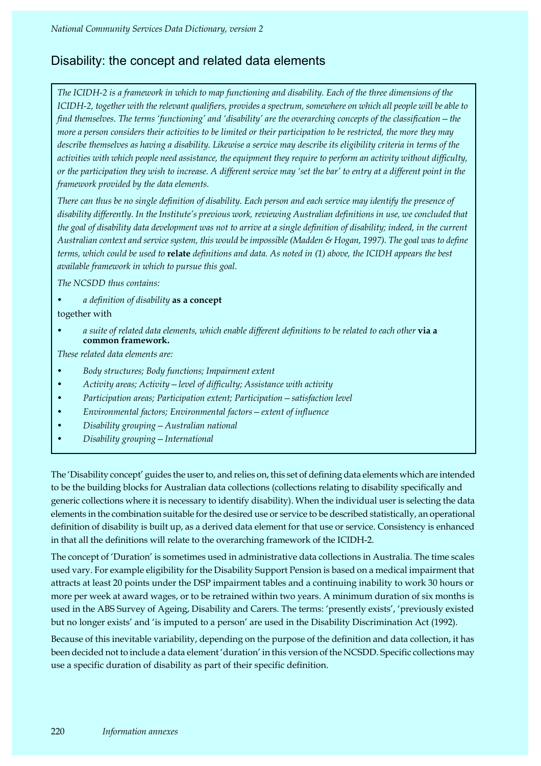# Disability: the concept and related data elements

*The ICIDH-2 is a framework in which to map functioning and disability. Each of the three dimensions of the ICIDH-2, together with the relevant qualifiers, provides a spectrum, somewhere on which all people will be able to find themselves. The terms 'functioning' and 'disability' are the overarching concepts of the classification—the more a person considers their activities to be limited or their participation to be restricted, the more they may describe themselves as having a disability. Likewise a service may describe its eligibility criteria in terms of the activities with which people need assistance, the equipment they require to perform an activity without difficulty, or the participation they wish to increase. A different service may 'set the bar' to entry at a different point in the framework provided by the data elements.*

*There can thus be no single definition of disability. Each person and each service may identify the presence of disability differently. In the Institute's previous work, reviewing Australian definitions in use, we concluded that the goal of disability data development was not to arrive at a single definition of disability; indeed, in the current Australian context and service system, this would be impossible (Madden & Hogan, 1997). The goal was to define terms, which could be used to* **relate** *definitions and data. As noted in (1) above, the ICIDH appears the best available framework in which to pursue this goal.*

*The NCSDD thus contains:*

- *a definition of disability* **as a concept** together with
- *a suite of related data elements, which enable different definitions to be related to each other* **via a common framework.**

*These related data elements are:*

- *Body structures; Body functions; Impairment extent*
- *Activity areas; Activity—level of difficulty; Assistance with activity*
- *Participation areas; Participation extent; Participation—satisfaction level*
- *Environmental factors; Environmental factors—extent of influence*
- *Disability grouping—Australian national*
- *Disability grouping—International*

The 'Disability concept' guides the user to, and relies on, this set of defining data elements which are intended to be the building blocks for Australian data collections (collections relating to disability specifically and generic collections where it is necessary to identify disability). When the individual user is selecting the data elements in the combination suitable for the desired use or service to be described statistically, an operational definition of disability is built up, as a derived data element for that use or service. Consistency is enhanced in that all the definitions will relate to the overarching framework of the ICIDH-2.

The concept of 'Duration' is sometimes used in administrative data collections in Australia. The time scales used vary. For example eligibility for the Disability Support Pension is based on a medical impairment that attracts at least 20 points under the DSP impairment tables and a continuing inability to work 30 hours or more per week at award wages, or to be retrained within two years. A minimum duration of six months is used in the ABS Survey of Ageing, Disability and Carers. The terms: 'presently exists', 'previously existed but no longer exists' and 'is imputed to a person' are used in the Disability Discrimination Act (1992).

Because of this inevitable variability, depending on the purpose of the definition and data collection, it has been decided not to include a data element 'duration' in this version of the NCSDD. Specific collections may use a specific duration of disability as part of their specific definition.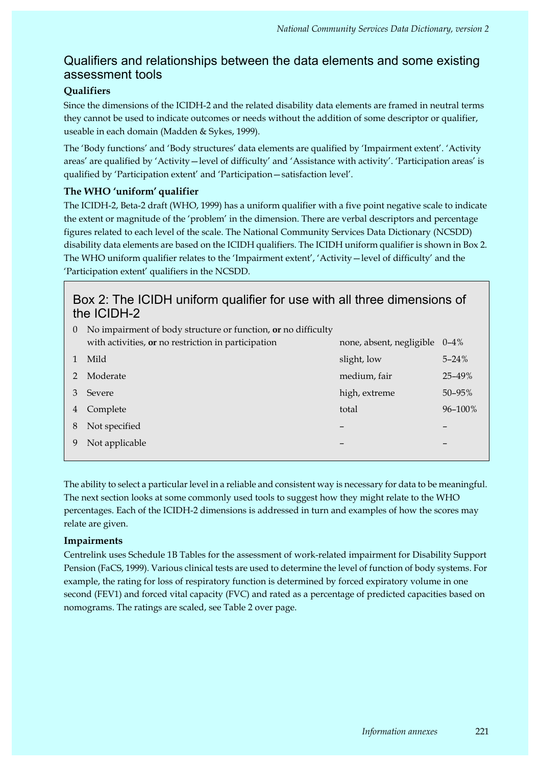# Qualifiers and relationships between the data elements and some existing assessment tools

# **Qualifiers**

Since the dimensions of the ICIDH-2 and the related disability data elements are framed in neutral terms they cannot be used to indicate outcomes or needs without the addition of some descriptor or qualifier, useable in each domain (Madden & Sykes, 1999).

The 'Body functions' and 'Body structures' data elements are qualified by 'Impairment extent'. 'Activity areas' are qualified by 'Activity—level of difficulty' and 'Assistance with activity'. 'Participation areas' is qualified by 'Participation extent' and 'Participation—satisfaction level'.

# **The WHO 'uniform' qualifier**

The ICIDH-2, Beta-2 draft (WHO, 1999) has a uniform qualifier with a five point negative scale to indicate the extent or magnitude of the 'problem' in the dimension. There are verbal descriptors and percentage figures related to each level of the scale. The National Community Services Data Dictionary (NCSDD) disability data elements are based on the ICIDH qualifiers. The ICIDH uniform qualifier is shown in Box 2. The WHO uniform qualifier relates to the 'Impairment extent', 'Activity—level of difficulty' and the 'Participation extent' qualifiers in the NCSDD.

# Box 2: The ICIDH uniform qualifier for use with all three dimensions of the ICIDH-2

| $\overline{0}$ | No impairment of body structure or function, or no difficulty |                          |             |
|----------------|---------------------------------------------------------------|--------------------------|-------------|
|                | with activities, or no restriction in participation           | none, absent, negligible | $0 - 4\%$   |
| $\mathbf{1}$   | Mild                                                          | slight, low              | $5 - 24%$   |
| 2              | Moderate                                                      | medium, fair             | $25 - 49\%$ |
| 3              | Severe                                                        | high, extreme            | $50 - 95\%$ |
| 4              | Complete                                                      | total                    | 96-100%     |
| 8              | Not specified                                                 |                          |             |
|                | Not applicable                                                |                          |             |
|                |                                                               |                          |             |

The ability to select a particular level in a reliable and consistent way is necessary for data to be meaningful. The next section looks at some commonly used tools to suggest how they might relate to the WHO percentages. Each of the ICIDH-2 dimensions is addressed in turn and examples of how the scores may relate are given.

## **Impairments**

Centrelink uses Schedule 1B Tables for the assessment of work-related impairment for Disability Support Pension (FaCS, 1999). Various clinical tests are used to determine the level of function of body systems. For example, the rating for loss of respiratory function is determined by forced expiratory volume in one second (FEV1) and forced vital capacity (FVC) and rated as a percentage of predicted capacities based on nomograms. The ratings are scaled, see Table 2 over page.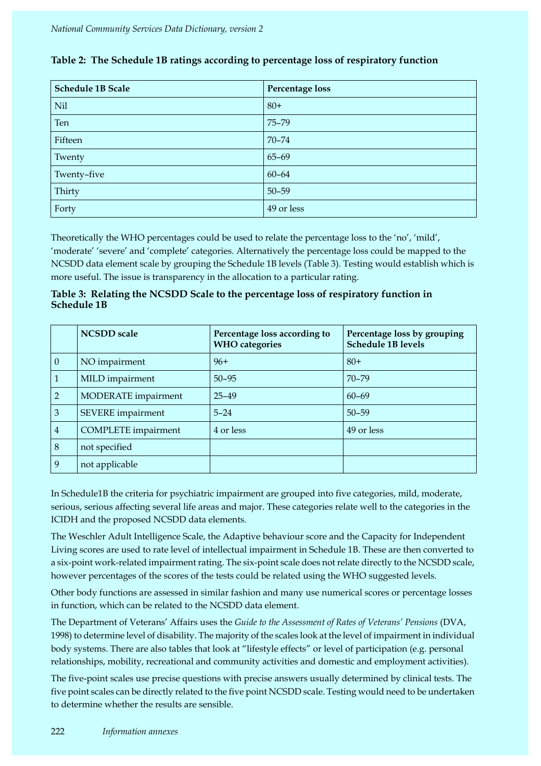| <b>Schedule 1B Scale</b> | Percentage loss |
|--------------------------|-----------------|
| Nil                      | $80+$           |
| Ten                      | 75-79           |
| Fifteen                  | $70 - 74$       |
| Twenty                   | $65 - 69$       |
| Twenty-five              | $60 - 64$       |
| Thirty                   | $50 - 59$       |
| Forty                    | 49 or less      |

# **Table 2: The Schedule 1B ratings according to percentage loss of respiratory function**

Theoretically the WHO percentages could be used to relate the percentage loss to the 'no', 'mild', 'moderate' 'severe' and 'complete' categories. Alternatively the percentage loss could be mapped to the NCSDD data element scale by grouping the Schedule 1B levels (Table 3). Testing would establish which is more useful. The issue is transparency in the allocation to a particular rating.

**Table 3: Relating the NCSDD Scale to the percentage loss of respiratory function in Schedule 1B** 

|                | <b>NCSDD</b> scale         | Percentage loss according to<br><b>WHO</b> categories | Percentage loss by grouping<br><b>Schedule 1B levels</b> |
|----------------|----------------------------|-------------------------------------------------------|----------------------------------------------------------|
| $\theta$       | NO impairment              | $96+$                                                 | $80+$                                                    |
| 1              | MILD impairment            | $50 - 95$                                             | $70 - 79$                                                |
| $\overline{2}$ | MODERATE impairment        | $25 - 49$                                             | $60 - 69$                                                |
| 3              | SEVERE impairment          | $5 - 24$                                              | $50 - 59$                                                |
| $\overline{4}$ | <b>COMPLETE</b> impairment | 4 or less                                             | 49 or less                                               |
| 8              | not specified              |                                                       |                                                          |
| 9              | not applicable             |                                                       |                                                          |

In Schedule1B the criteria for psychiatric impairment are grouped into five categories, mild, moderate, serious, serious affecting several life areas and major. These categories relate well to the categories in the ICIDH and the proposed NCSDD data elements.

The Weschler Adult Intelligence Scale, the Adaptive behaviour score and the Capacity for Independent Living scores are used to rate level of intellectual impairment in Schedule 1B. These are then converted to a six-point work-related impairment rating. The six-point scale does not relate directly to the NCSDD scale, however percentages of the scores of the tests could be related using the WHO suggested levels.

Other body functions are assessed in similar fashion and many use numerical scores or percentage losses in function, which can be related to the NCSDD data element.

The Department of Veterans' Affairs uses the *Guide to the Assessment of Rates of Veterans' Pensions* (DVA, 1998) to determine level of disability. The majority of the scales look at the level of impairment in individual body systems. There are also tables that look at "lifestyle effects" or level of participation (e.g. personal relationships, mobility, recreational and community activities and domestic and employment activities).

The five-point scales use precise questions with precise answers usually determined by clinical tests. The five point scales can be directly related to the five point NCSDD scale. Testing would need to be undertaken to determine whether the results are sensible.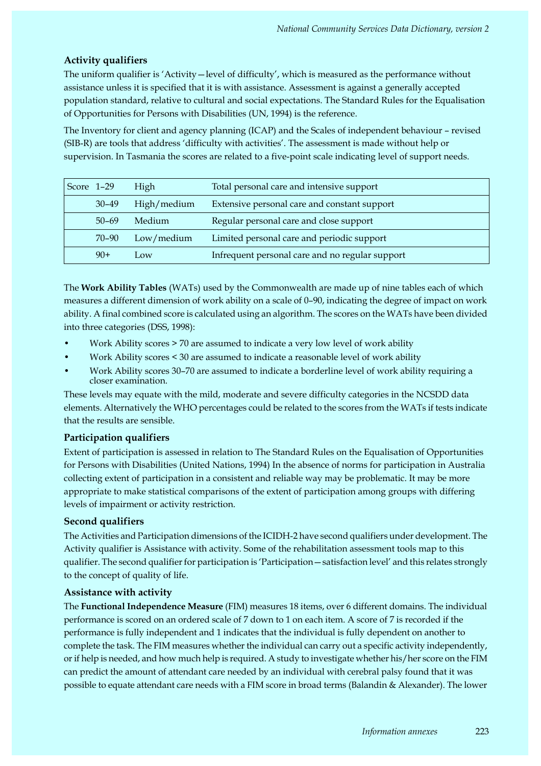## **Activity qualifiers**

The uniform qualifier is 'Activity—level of difficulty', which is measured as the performance without assistance unless it is specified that it is with assistance. Assessment is against a generally accepted population standard, relative to cultural and social expectations. The Standard Rules for the Equalisation of Opportunities for Persons with Disabilities (UN, 1994) is the reference.

The Inventory for client and agency planning (ICAP) and the Scales of independent behaviour – revised (SIB-R) are tools that address 'difficulty with activities'. The assessment is made without help or supervision. In Tasmania the scores are related to a five-point scale indicating level of support needs.

| Score 1-29 |           | High        | Total personal care and intensive support       |
|------------|-----------|-------------|-------------------------------------------------|
|            | $30 - 49$ | High/medium | Extensive personal care and constant support    |
|            | $50 - 69$ | Medium      | Regular personal care and close support         |
|            | 70-90     | Low/medium  | Limited personal care and periodic support      |
|            | $90+$     | Low         | Infrequent personal care and no regular support |

The **Work Ability Tables** (WATs) used by the Commonwealth are made up of nine tables each of which measures a different dimension of work ability on a scale of 0–90, indicating the degree of impact on work ability. A final combined score is calculated using an algorithm. The scores on the WATs have been divided into three categories (DSS, 1998):

- Work Ability scores > 70 are assumed to indicate a very low level of work ability
- Work Ability scores < 30 are assumed to indicate a reasonable level of work ability
- Work Ability scores 30–70 are assumed to indicate a borderline level of work ability requiring a closer examination.

These levels may equate with the mild, moderate and severe difficulty categories in the NCSDD data elements. Alternatively the WHO percentages could be related to the scores from the WATs if tests indicate that the results are sensible.

## **Participation qualifiers**

Extent of participation is assessed in relation to The Standard Rules on the Equalisation of Opportunities for Persons with Disabilities (United Nations, 1994) In the absence of norms for participation in Australia collecting extent of participation in a consistent and reliable way may be problematic. It may be more appropriate to make statistical comparisons of the extent of participation among groups with differing levels of impairment or activity restriction.

## **Second qualifiers**

The Activities and Participation dimensions of the ICIDH-2 have second qualifiers under development. The Activity qualifier is Assistance with activity. Some of the rehabilitation assessment tools map to this qualifier. The second qualifier for participation is 'Participation—satisfaction level' and this relates strongly to the concept of quality of life.

## **Assistance with activity**

The **Functional Independence Measure** (FIM) measures 18 items, over 6 different domains. The individual performance is scored on an ordered scale of 7 down to 1 on each item. A score of 7 is recorded if the performance is fully independent and 1 indicates that the individual is fully dependent on another to complete the task. The FIM measures whether the individual can carry out a specific activity independently, or if help is needed, and how much help is required. A study to investigate whether his/her score on the FIM can predict the amount of attendant care needed by an individual with cerebral palsy found that it was possible to equate attendant care needs with a FIM score in broad terms (Balandin & Alexander). The lower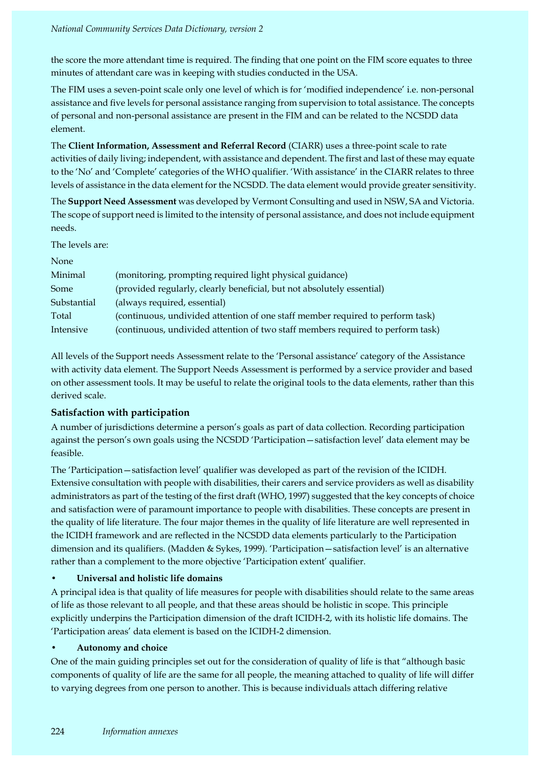#### *National Community Services Data Dictionary, version 2*

the score the more attendant time is required. The finding that one point on the FIM score equates to three minutes of attendant care was in keeping with studies conducted in the USA.

The FIM uses a seven-point scale only one level of which is for 'modified independence' i.e. non-personal assistance and five levels for personal assistance ranging from supervision to total assistance. The concepts of personal and non-personal assistance are present in the FIM and can be related to the NCSDD data element.

The **Client Information, Assessment and Referral Record** (CIARR) uses a three-point scale to rate activities of daily living; independent, with assistance and dependent. The first and last of these may equate to the 'No' and 'Complete' categories of the WHO qualifier. 'With assistance' in the CIARR relates to three levels of assistance in the data element for the NCSDD. The data element would provide greater sensitivity.

The **Support Need Assessment** was developed by Vermont Consulting and used in NSW, SA and Victoria. The scope of support need is limited to the intensity of personal assistance, and does not include equipment needs.

The levels are:

| None        |                                                                                 |
|-------------|---------------------------------------------------------------------------------|
| Minimal     | (monitoring, prompting required light physical guidance)                        |
| Some        | (provided regularly, clearly beneficial, but not absolutely essential)          |
| Substantial | (always required, essential)                                                    |
| Total       | (continuous, undivided attention of one staff member required to perform task)  |
| Intensive   | (continuous, undivided attention of two staff members required to perform task) |

All levels of the Support needs Assessment relate to the 'Personal assistance' category of the Assistance with activity data element. The Support Needs Assessment is performed by a service provider and based on other assessment tools. It may be useful to relate the original tools to the data elements, rather than this derived scale.

# **Satisfaction with participation**

A number of jurisdictions determine a person's goals as part of data collection. Recording participation against the person's own goals using the NCSDD 'Participation—satisfaction level' data element may be feasible.

The 'Participation—satisfaction level' qualifier was developed as part of the revision of the ICIDH. Extensive consultation with people with disabilities, their carers and service providers as well as disability administrators as part of the testing of the first draft (WHO, 1997) suggested that the key concepts of choice and satisfaction were of paramount importance to people with disabilities. These concepts are present in the quality of life literature. The four major themes in the quality of life literature are well represented in the ICIDH framework and are reflected in the NCSDD data elements particularly to the Participation dimension and its qualifiers. (Madden & Sykes, 1999). 'Participation—satisfaction level' is an alternative rather than a complement to the more objective 'Participation extent' qualifier.

# **• Universal and holistic life domains**

A principal idea is that quality of life measures for people with disabilities should relate to the same areas of life as those relevant to all people, and that these areas should be holistic in scope. This principle explicitly underpins the Participation dimension of the draft ICIDH-2, with its holistic life domains. The 'Participation areas' data element is based on the ICIDH-2 dimension.

# **• Autonomy and choice**

One of the main guiding principles set out for the consideration of quality of life is that "although basic components of quality of life are the same for all people, the meaning attached to quality of life will differ to varying degrees from one person to another. This is because individuals attach differing relative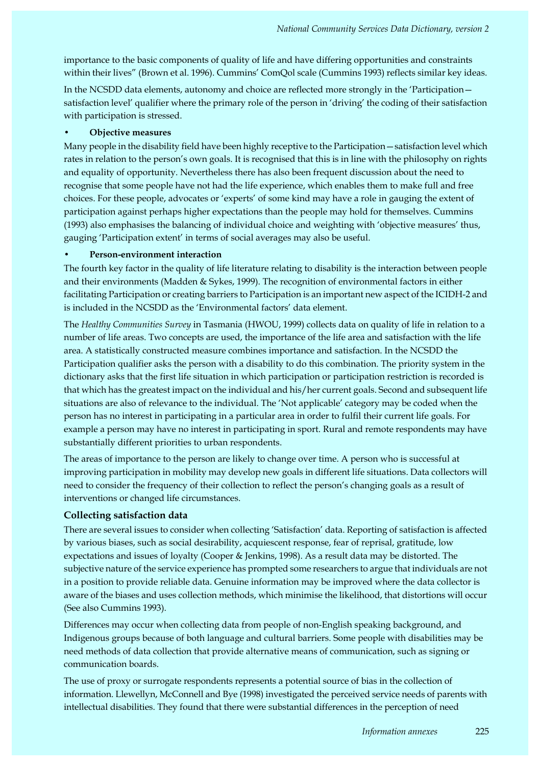importance to the basic components of quality of life and have differing opportunities and constraints within their lives" (Brown et al. 1996). Cummins' ComQol scale (Cummins 1993) reflects similar key ideas.

In the NCSDD data elements, autonomy and choice are reflected more strongly in the 'Participation satisfaction level' qualifier where the primary role of the person in 'driving' the coding of their satisfaction with participation is stressed.

#### **• Objective measures**

Many people in the disability field have been highly receptive to the Participation—satisfaction level which rates in relation to the person's own goals. It is recognised that this is in line with the philosophy on rights and equality of opportunity. Nevertheless there has also been frequent discussion about the need to recognise that some people have not had the life experience, which enables them to make full and free choices. For these people, advocates or 'experts' of some kind may have a role in gauging the extent of participation against perhaps higher expectations than the people may hold for themselves. Cummins (1993) also emphasises the balancing of individual choice and weighting with 'objective measures' thus, gauging 'Participation extent' in terms of social averages may also be useful.

#### **• Person-environment interaction**

The fourth key factor in the quality of life literature relating to disability is the interaction between people and their environments (Madden & Sykes, 1999). The recognition of environmental factors in either facilitating Participation or creating barriers to Participation is an important new aspect of the ICIDH-2 and is included in the NCSDD as the 'Environmental factors' data element.

The *Healthy Communities Survey* in Tasmania (HWOU, 1999) collects data on quality of life in relation to a number of life areas. Two concepts are used, the importance of the life area and satisfaction with the life area. A statistically constructed measure combines importance and satisfaction. In the NCSDD the Participation qualifier asks the person with a disability to do this combination. The priority system in the dictionary asks that the first life situation in which participation or participation restriction is recorded is that which has the greatest impact on the individual and his/her current goals. Second and subsequent life situations are also of relevance to the individual. The 'Not applicable' category may be coded when the person has no interest in participating in a particular area in order to fulfil their current life goals. For example a person may have no interest in participating in sport. Rural and remote respondents may have substantially different priorities to urban respondents.

The areas of importance to the person are likely to change over time. A person who is successful at improving participation in mobility may develop new goals in different life situations. Data collectors will need to consider the frequency of their collection to reflect the person's changing goals as a result of interventions or changed life circumstances.

## **Collecting satisfaction data**

There are several issues to consider when collecting 'Satisfaction' data. Reporting of satisfaction is affected by various biases, such as social desirability, acquiescent response, fear of reprisal, gratitude, low expectations and issues of loyalty (Cooper & Jenkins, 1998). As a result data may be distorted. The subjective nature of the service experience has prompted some researchers to argue that individuals are not in a position to provide reliable data. Genuine information may be improved where the data collector is aware of the biases and uses collection methods, which minimise the likelihood, that distortions will occur (See also Cummins 1993).

Differences may occur when collecting data from people of non-English speaking background, and Indigenous groups because of both language and cultural barriers. Some people with disabilities may be need methods of data collection that provide alternative means of communication, such as signing or communication boards.

The use of proxy or surrogate respondents represents a potential source of bias in the collection of information. Llewellyn, McConnell and Bye (1998) investigated the perceived service needs of parents with intellectual disabilities. They found that there were substantial differences in the perception of need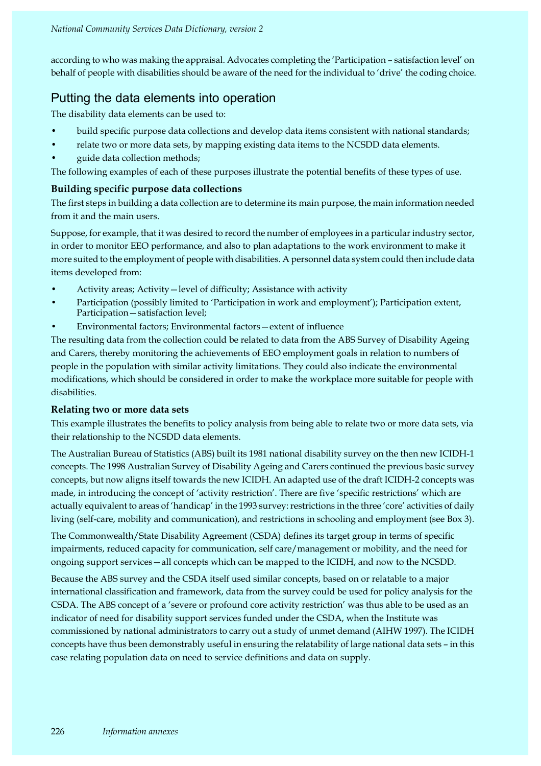according to who was making the appraisal. Advocates completing the 'Participation – satisfaction level' on behalf of people with disabilities should be aware of the need for the individual to 'drive' the coding choice.

# Putting the data elements into operation

The disability data elements can be used to:

- build specific purpose data collections and develop data items consistent with national standards;
- relate two or more data sets, by mapping existing data items to the NCSDD data elements.
- guide data collection methods;

The following examples of each of these purposes illustrate the potential benefits of these types of use.

## **Building specific purpose data collections**

The first steps in building a data collection are to determine its main purpose, the main information needed from it and the main users.

Suppose, for example, that it was desired to record the number of employees in a particular industry sector, in order to monitor EEO performance, and also to plan adaptations to the work environment to make it more suited to the employment of people with disabilities. A personnel data system could then include data items developed from:

- Activity areas; Activity—level of difficulty; Assistance with activity
- Participation (possibly limited to 'Participation in work and employment'); Participation extent, Participation—satisfaction level;
- Environmental factors; Environmental factors—extent of influence

The resulting data from the collection could be related to data from the ABS Survey of Disability Ageing and Carers, thereby monitoring the achievements of EEO employment goals in relation to numbers of people in the population with similar activity limitations. They could also indicate the environmental modifications, which should be considered in order to make the workplace more suitable for people with disabilities.

## **Relating two or more data sets**

This example illustrates the benefits to policy analysis from being able to relate two or more data sets, via their relationship to the NCSDD data elements.

The Australian Bureau of Statistics (ABS) built its 1981 national disability survey on the then new ICIDH-1 concepts. The 1998 Australian Survey of Disability Ageing and Carers continued the previous basic survey concepts, but now aligns itself towards the new ICIDH. An adapted use of the draft ICIDH-2 concepts was made, in introducing the concept of 'activity restriction'. There are five 'specific restrictions' which are actually equivalent to areas of 'handicap' in the 1993 survey: restrictions in the three 'core' activities of daily living (self-care, mobility and communication), and restrictions in schooling and employment (see Box 3).

The Commonwealth/State Disability Agreement (CSDA) defines its target group in terms of specific impairments, reduced capacity for communication, self care/management or mobility, and the need for ongoing support services—all concepts which can be mapped to the ICIDH, and now to the NCSDD.

Because the ABS survey and the CSDA itself used similar concepts, based on or relatable to a major international classification and framework, data from the survey could be used for policy analysis for the CSDA. The ABS concept of a 'severe or profound core activity restriction' was thus able to be used as an indicator of need for disability support services funded under the CSDA, when the Institute was commissioned by national administrators to carry out a study of unmet demand (AIHW 1997). The ICIDH concepts have thus been demonstrably useful in ensuring the relatability of large national data sets – in this case relating population data on need to service definitions and data on supply.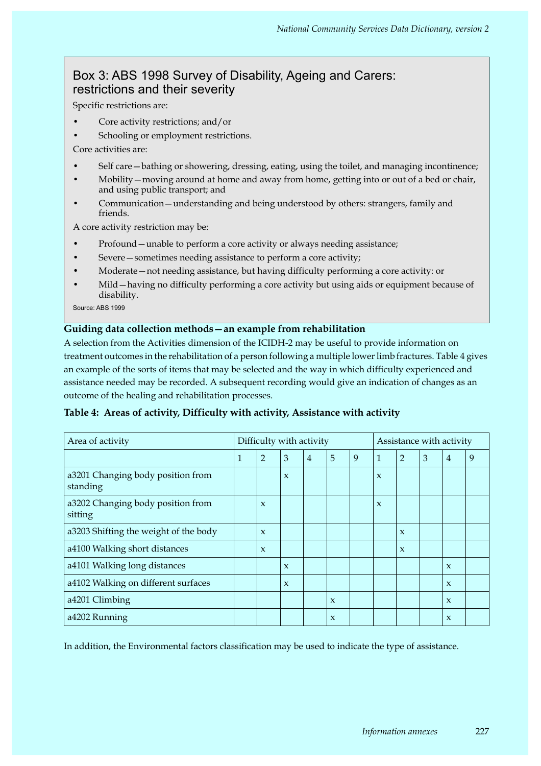# Box 3: ABS 1998 Survey of Disability, Ageing and Carers: restrictions and their severity

Specific restrictions are:

- Core activity restrictions; and/or
- Schooling or employment restrictions.

Core activities are:

- Self care—bathing or showering, dressing, eating, using the toilet, and managing incontinence;
- Mobility—moving around at home and away from home, getting into or out of a bed or chair, and using public transport; and
- Communication—understanding and being understood by others: strangers, family and friends.

A core activity restriction may be:

- Profound unable to perform a core activity or always needing assistance;
- Severe sometimes needing assistance to perform a core activity;
- Moderate—not needing assistance, but having difficulty performing a core activity: or
- Mild—having no difficulty performing a core activity but using aids or equipment because of disability.

Source: ABS 1999

## **Guiding data collection methods—an example from rehabilitation**

A selection from the Activities dimension of the ICIDH-2 may be useful to provide information on treatment outcomes in the rehabilitation of a person following a multiple lower limb fractures. Table 4 gives an example of the sorts of items that may be selected and the way in which difficulty experienced and assistance needed may be recorded. A subsequent recording would give an indication of changes as an outcome of the healing and rehabilitation processes.

| $\overline{2}$ | 3                   | $\overline{4}$ | 5 |                          | -1                  | 2                   | 3                                                                               | $\overline{4}$ | 9                        |
|----------------|---------------------|----------------|---|--------------------------|---------------------|---------------------|---------------------------------------------------------------------------------|----------------|--------------------------|
|                | $\boldsymbol{\chi}$ |                |   |                          | $\boldsymbol{\chi}$ |                     |                                                                                 |                |                          |
| X              |                     |                |   |                          | $\boldsymbol{\chi}$ |                     |                                                                                 |                |                          |
| X              |                     |                |   |                          |                     | $\boldsymbol{\chi}$ |                                                                                 |                |                          |
|                |                     |                |   | Difficulty with activity |                     |                     | Tubic 1. There of activity, Dhilealty with activity, Isosiotalice with activity |                | Assistance with activity |

## **Table 4: Areas of activity, Difficulty with activity, Assistance with activity**

a4100 Walking short distances x x

In addition, the Environmental factors classification may be used to indicate the type of assistance.

a4101 Walking long distances  $\vert \vert x \vert \vert x \vert$  x  $\vert x \vert$ a4102 Walking on different surfaces  $\begin{vmatrix} x \\ x \end{vmatrix}$  x  $\begin{vmatrix} x \\ y \end{vmatrix}$  x  $\begin{vmatrix} x \\ y \end{vmatrix}$  x  $\begin{vmatrix} x \\ y \end{vmatrix}$  x  $\begin{vmatrix} x \\ y \end{vmatrix}$ a4201 Climbing  $\vert \vert \vert \vert \vert \vert x \vert \vert \vert x \vert \vert \vert x \vert \vert \vert x \vert \vert \vert x \vert \vert \vert x \vert \vert \vert x \vert \vert \vert x \vert \vert \vert x \vert \vert \vert x \vert \vert \vert x \vert \vert \vert x \vert \vert \vert x \vert \vert \vert x \vert \vert \vert x \vert \vert \vert x \vert \vert \vert x \vert \vert \vert x \vert \vert \vert x \vert \vert \vert x \vert \vert \vert x \vert \vert \vert x \vert \vert \vert x \vert \vert \vert x \vert \vert \vert x \vert \vert \vert x \vert \vert \vert x \vert \vert \vert x \vert \$ a4202 Running x x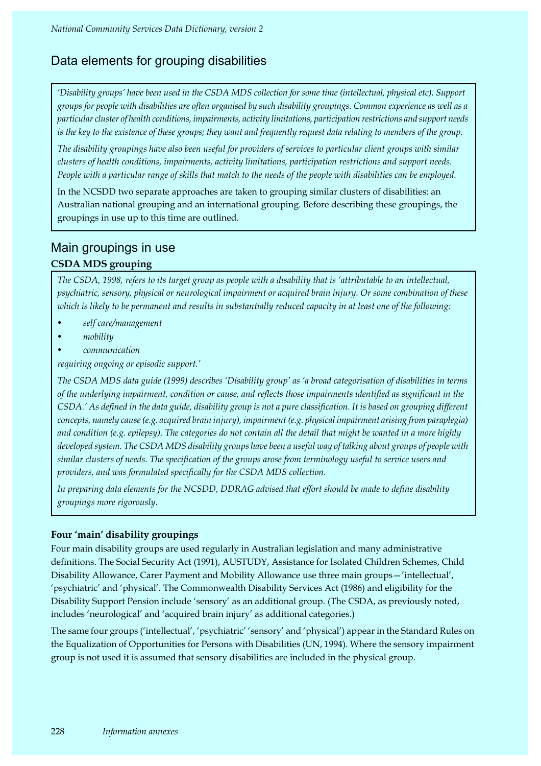# Data elements for grouping disabilities

*'Disability groups' have been used in the CSDA MDS collection for some time (intellectual, physical etc). Support groups for people with disabilities are often organised by such disability groupings. Common experience as well as a particular cluster of health conditions, impairments, activity limitations, participation restrictions and support needs*  is the key to the existence of these groups; they want and frequently request data relating to members of the group.

*The disability groupings have also been useful for providers of services to particular client groups with similar clusters of health conditions, impairments, activity limitations, participation restrictions and support needs.*  People with a particular range of skills that match to the needs of the people with disabilities can be employed.

In the NCSDD two separate approaches are taken to grouping similar clusters of disabilities: an Australian national grouping and an international grouping. Before describing these groupings, the groupings in use up to this time are outlined.

# Main groupings in use

## **CSDA MDS grouping**

*The CSDA, 1998, refers to its target group as people with a disability that is 'attributable to an intellectual, psychiatric, sensory, physical or neurological impairment or acquired brain injury. Or some combination of these which is likely to be permanent and results in substantially reduced capacity in at least one of the following:*

- *self care/management*
- *mobility*
- *communication*

*requiring ongoing or episodic support.'* 

*The CSDA MDS data guide (1999) describes 'Disability group' as 'a broad categorisation of disabilities in terms of the underlying impairment, condition or cause, and reflects those impairments identified as significant in the CSDA.' As defined in the data guide, disability group is not a pure classification. It is based on grouping different concepts, namely cause (e.g. acquired brain injury), impairment (e.g. physical impairment arising from paraplegia) and condition (e.g. epilepsy). The categories do not contain all the detail that might be wanted in a more highly developed system. The CSDA MDS disability groups have been a useful way of talking about groups of people with similar clusters of needs. The specification of the groups arose from terminology useful to service users and providers, and was formulated specifically for the CSDA MDS collection.* 

*In preparing data elements for the NCSDD, DDRAG advised that effort should be made to define disability groupings more rigorously.*

## **Four 'main' disability groupings**

Four main disability groups are used regularly in Australian legislation and many administrative definitions. The Social Security Act (1991), AUSTUDY, Assistance for Isolated Children Schemes, Child Disability Allowance, Carer Payment and Mobility Allowance use three main groups—'intellectual', 'psychiatric' and 'physical'. The Commonwealth Disability Services Act (1986) and eligibility for the Disability Support Pension include 'sensory' as an additional group. (The CSDA, as previously noted, includes 'neurological' and 'acquired brain injury' as additional categories.)

The same four groups ('intellectual', 'psychiatric' 'sensory' and 'physical') appear in the Standard Rules on the Equalization of Opportunities for Persons with Disabilities (UN, 1994). Where the sensory impairment group is not used it is assumed that sensory disabilities are included in the physical group.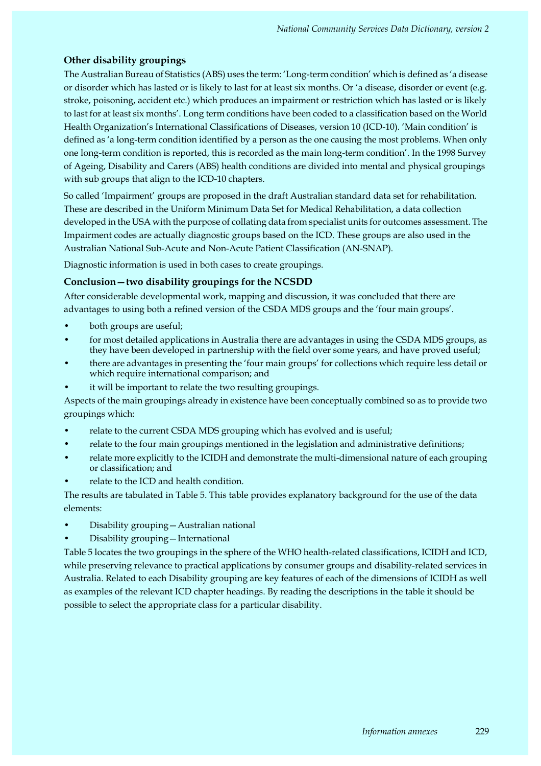## **Other disability groupings**

The Australian Bureau of Statistics (ABS) uses the term: 'Long-term condition' which is defined as 'a disease or disorder which has lasted or is likely to last for at least six months. Or 'a disease, disorder or event (e.g. stroke, poisoning, accident etc.) which produces an impairment or restriction which has lasted or is likely to last for at least six months'. Long term conditions have been coded to a classification based on the World Health Organization's International Classifications of Diseases, version 10 (ICD-10). 'Main condition' is defined as 'a long-term condition identified by a person as the one causing the most problems. When only one long-term condition is reported, this is recorded as the main long-term condition'. In the 1998 Survey of Ageing, Disability and Carers (ABS) health conditions are divided into mental and physical groupings with sub groups that align to the ICD-10 chapters.

So called 'Impairment' groups are proposed in the draft Australian standard data set for rehabilitation. These are described in the Uniform Minimum Data Set for Medical Rehabilitation, a data collection developed in the USA with the purpose of collating data from specialist units for outcomes assessment. The Impairment codes are actually diagnostic groups based on the ICD. These groups are also used in the Australian National Sub-Acute and Non-Acute Patient Classification (AN-SNAP).

Diagnostic information is used in both cases to create groupings.

## **Conclusion—two disability groupings for the NCSDD**

After considerable developmental work, mapping and discussion, it was concluded that there are advantages to using both a refined version of the CSDA MDS groups and the 'four main groups'.

- both groups are useful;
- for most detailed applications in Australia there are advantages in using the CSDA MDS groups, as they have been developed in partnership with the field over some years, and have proved useful;
- there are advantages in presenting the 'four main groups' for collections which require less detail or which require international comparison; and
- it will be important to relate the two resulting groupings.

Aspects of the main groupings already in existence have been conceptually combined so as to provide two groupings which:

- relate to the current CSDA MDS grouping which has evolved and is useful;
- relate to the four main groupings mentioned in the legislation and administrative definitions;
- relate more explicitly to the ICIDH and demonstrate the multi-dimensional nature of each grouping or classification; and
- relate to the ICD and health condition.

The results are tabulated in Table 5. This table provides explanatory background for the use of the data elements:

- Disability grouping—Australian national
- Disability grouping—International

Table 5 locates the two groupings in the sphere of the WHO health-related classifications, ICIDH and ICD, while preserving relevance to practical applications by consumer groups and disability-related services in Australia. Related to each Disability grouping are key features of each of the dimensions of ICIDH as well as examples of the relevant ICD chapter headings. By reading the descriptions in the table it should be possible to select the appropriate class for a particular disability.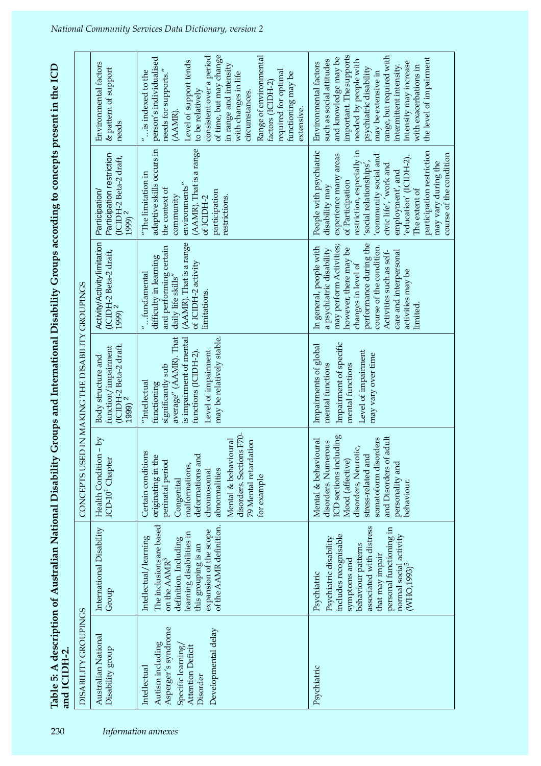Table 5: A description of Australian National Disability Groups and International Disability Groups according to concepts present in the ICD<br>and ICIDH-2.

 $\overline{1}$ 

| 230                 | DISABILITY GROUPINGS<br>and ICIDH-2                                                                                                   |                                                                                                                                                                                                                                     |                                                                                                                                                                                                                                              | CONCEPTS USED IN MAKING THE DISABILITY GROUPINGS                                                                                                                                  |                                                                                                                                                                                                                                                                            | Table 5: A description of Australian National Disability Groups and International Disability Groups according to concepts present in the ICD                                                                                                                                                                                                 |                                                                                                                                                                                                                                                                                                                                                                    |
|---------------------|---------------------------------------------------------------------------------------------------------------------------------------|-------------------------------------------------------------------------------------------------------------------------------------------------------------------------------------------------------------------------------------|----------------------------------------------------------------------------------------------------------------------------------------------------------------------------------------------------------------------------------------------|-----------------------------------------------------------------------------------------------------------------------------------------------------------------------------------|----------------------------------------------------------------------------------------------------------------------------------------------------------------------------------------------------------------------------------------------------------------------------|----------------------------------------------------------------------------------------------------------------------------------------------------------------------------------------------------------------------------------------------------------------------------------------------------------------------------------------------|--------------------------------------------------------------------------------------------------------------------------------------------------------------------------------------------------------------------------------------------------------------------------------------------------------------------------------------------------------------------|
|                     |                                                                                                                                       |                                                                                                                                                                                                                                     |                                                                                                                                                                                                                                              |                                                                                                                                                                                   |                                                                                                                                                                                                                                                                            |                                                                                                                                                                                                                                                                                                                                              |                                                                                                                                                                                                                                                                                                                                                                    |
|                     | Australian National<br>Disability group                                                                                               | International Disability<br>Group                                                                                                                                                                                                   | Health Condition - by<br>ICD-10 <sup>1</sup> Chapter                                                                                                                                                                                         | (ICIDH-2 Beta-2 draft,<br>function/impairment<br>Body structure and<br>$1999$ $2$                                                                                                 | Activity/Activity limitation<br>(ICIDH-2 Beta-2 draft,<br>1999) <sup>2</sup>                                                                                                                                                                                               | Participation restriction<br>(ICIDH-2 Beta-2 draft,<br>Participation/<br>1999) $2^{7}$                                                                                                                                                                                                                                                       | Environmental factors<br>& pattern of support<br>needs                                                                                                                                                                                                                                                                                                             |
| Information annexes | Asperger's syndrome<br>Developmental delay<br>Autism including<br>Specific learning/<br>Attention Deficit<br>Intellectual<br>Disorder | The inclusions are based<br>of the AAMR definition.<br>expansion of the scope<br>learning disabilities in<br>Intellectual/learning<br>definition. Including<br>this grouping is an<br>on the $AAMR3$                                | disorders. Sections F70-<br>Mental & behavioural<br>79 Mental retardation<br>Certain conditions<br>originating in the<br>deformations and<br>perinatal period<br>malformations,<br>abnormalities<br>chromosomal<br>for example<br>Congenital | average" (AAMR). That<br>may be relatively stable.<br>is impairment of mental<br>Level of impairment<br>functions (ICIDH-2).<br>significantly sub<br>"Intellectual<br>functioning | (AAMR). That is a range<br>and performing certain<br>difficulty in learning<br>of ICIDH-2 activity<br>$"$ fundamental<br>daily life skills"<br>limitations.                                                                                                                | (AAMR). That is a range<br>adaptive skills occurs in<br>"The limitation in<br>environments"<br>the context of<br>participation<br>community<br>restrictions.<br>of ICIDH-2                                                                                                                                                                   | consistent over a period<br>of time, but may change<br>Range of environmental<br>person's individualised<br>Level of support tends<br>in range and intensity<br>required for optimal<br>is indexed to the<br>needs for supports."<br>with changes in life<br>functioning may be<br>factors (ICIDH-2)<br>to be relatively<br>circumstances<br>extensive.<br>(AAMR). |
|                     | Psychiatric                                                                                                                           | associated with distress<br>personal functioning in<br>includes recognisable<br>normal social activity<br>(WHO,1993) <sup>5</sup><br>Psychiatric disability<br>behaviour patterns<br>that may impair<br>symptoms and<br>Psychiatric | ICD sections including<br>and Disorders of adult<br>somatoform disorders<br>Mental & behavioural<br>disorders. Numerous<br>disorders, Neurotic,<br>stress-related and<br>Mood (affective)<br>personality and<br>behaviour.                   | Impairment of specific<br>Impairments of global<br>Level of impairment<br>may vary over time<br>mental functions<br>mental functions                                              | performance during the<br>may perform Activities;<br>course of the condition.<br>In general, people with<br>however, there may be<br>a psychiatric disability<br>care and interpersonal<br>Activities such as self-<br>changes in level of<br>activities may be<br>limited | restriction, especially in<br>People with psychiatric<br>participation restriction<br>course of the condition<br>experience many areas<br>community social and<br>education' (ICIDH-2)<br>social relationships',<br>may vary during the<br>civic life', 'work and<br>employment', and<br>of Participation<br>disability may<br>The extent of | important. The supports<br>range, but required with<br>the level of impairment<br>and knowledge may be<br>such as social attitudes<br>needed by people with<br>Environmental factors<br>Intensity may increase<br>intermittent intensity.<br>with exacerbations in<br>psychiatric disability<br>may be extensive in                                                |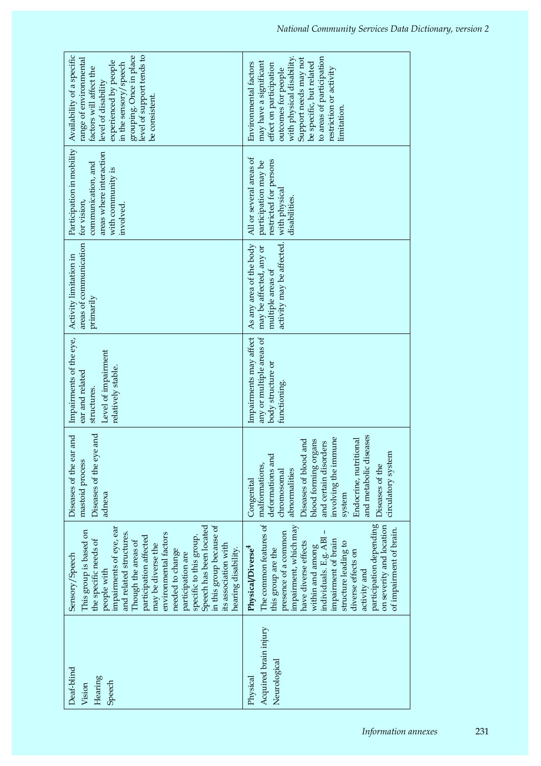| level of support tends to<br>Availability of a specific<br>grouping. Once in place<br>range of environmental<br>experienced by people<br>in the sensory/speech<br>factors will affect the<br>level of disability<br>be consistent.                                                                                                                                                                               | to areas of participation<br>with physical disability.<br>Support needs may not<br>may have a significant<br>Environmental factors<br>be specific, but related<br>effect on participation<br>outcomes for people<br>restriction or activity<br>limitation.                                                                                                                  |
|------------------------------------------------------------------------------------------------------------------------------------------------------------------------------------------------------------------------------------------------------------------------------------------------------------------------------------------------------------------------------------------------------------------|-----------------------------------------------------------------------------------------------------------------------------------------------------------------------------------------------------------------------------------------------------------------------------------------------------------------------------------------------------------------------------|
| Participation in mobility<br>areas where interaction<br>communication, and<br>with community is<br>for vision,<br>involved.                                                                                                                                                                                                                                                                                      | All or several areas of<br>restricted for persons<br>participation may be<br>disabilities.                                                                                                                                                                                                                                                                                  |
| areas of communication<br>Activity limitation in<br>primarily                                                                                                                                                                                                                                                                                                                                                    | activity may be affected. with physical<br>As any area of the body<br>may be affected, any or<br>multiple areas of                                                                                                                                                                                                                                                          |
| Impairments of the eye,<br>Level of impairment<br>relatively stable.<br>ear and related<br>structures.                                                                                                                                                                                                                                                                                                           | Impairments may affect<br>any or multiple areas of<br>body structure or<br>functioning.                                                                                                                                                                                                                                                                                     |
| Diseases of the eye and<br>Diseases of the ear and<br>mastoid process<br>adnexa                                                                                                                                                                                                                                                                                                                                  | and metabolic diseases<br>involving the immune<br>Endocrine, nutritional<br>blood forming organs<br>l and<br>and certain disorders<br>circulatory system<br>deformations and<br>Diseases of blood<br>malformations,<br>Diseases of the<br>abnormalities<br>chromosomal<br>Congenital<br>system                                                                              |
| in this group because of<br>Speech has been located<br>impairments of eye, ear<br>This group is based on<br>and related structures.<br>environmental factors<br>participation affected<br>specific to this group.<br>the specific needs of<br>Though the areas of<br>may be diverse the<br>its association with<br>hearing disability.<br>needed to change<br>Sensory/Speech<br>participation are<br>people with | participation depending<br>The common features of<br>on severity and location<br>impairment, which may<br>of impairment of brain.<br>presence of a common<br>individuals. E.g. ABI-<br>impairment of brain<br>have diverse effects<br>structure leading to<br>within and among<br>Physical/Diverse <sup>4</sup><br>this group are the<br>diverse effects on<br>activity and |
| Deaf-blind<br>Hearing<br>Speech<br>Vision                                                                                                                                                                                                                                                                                                                                                                        | Acquired brain injury<br>Neurological<br>Physical                                                                                                                                                                                                                                                                                                                           |